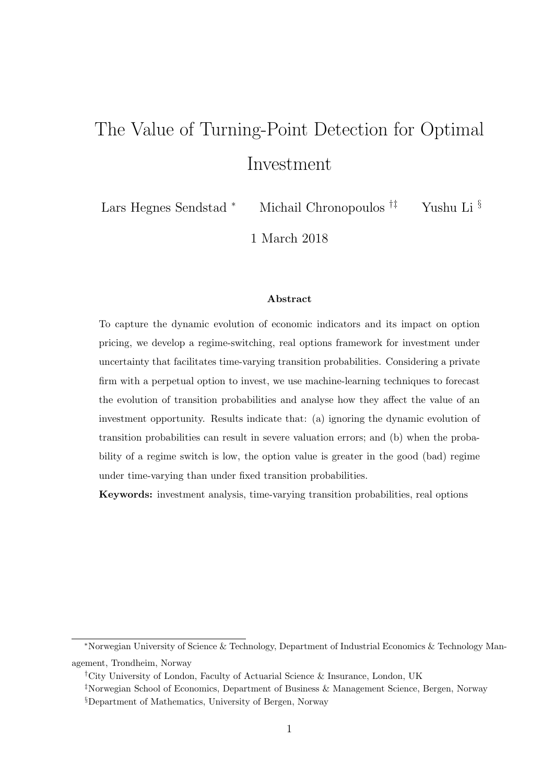# The Value of Turning-Point Detection for Optimal Investment

Lars Hegnes Sendstad <sup>∗</sup> Michail Chronopoulos †‡ Yushu Li §

1 March 2018

#### Abstract

To capture the dynamic evolution of economic indicators and its impact on option pricing, we develop a regime-switching, real options framework for investment under uncertainty that facilitates time-varying transition probabilities. Considering a private firm with a perpetual option to invest, we use machine-learning techniques to forecast the evolution of transition probabilities and analyse how they affect the value of an investment opportunity. Results indicate that: (a) ignoring the dynamic evolution of transition probabilities can result in severe valuation errors; and (b) when the probability of a regime switch is low, the option value is greater in the good (bad) regime under time-varying than under fixed transition probabilities.

Keywords: investment analysis, time-varying transition probabilities, real options

<sup>∗</sup>Norwegian University of Science & Technology, Department of Industrial Economics & Technology Management, Trondheim, Norway

<sup>†</sup>City University of London, Faculty of Actuarial Science & Insurance, London, UK

<sup>‡</sup>Norwegian School of Economics, Department of Business & Management Science, Bergen, Norway

<sup>§</sup>Department of Mathematics, University of Bergen, Norway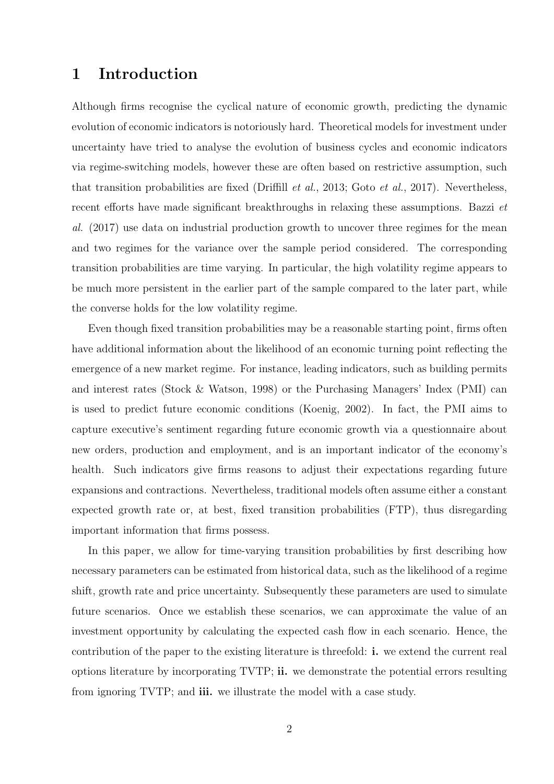## 1 Introduction

Although firms recognise the cyclical nature of economic growth, predicting the dynamic evolution of economic indicators is notoriously hard. Theoretical models for investment under uncertainty have tried to analyse the evolution of business cycles and economic indicators via regime-switching models, however these are often based on restrictive assumption, such that transition probabilities are fixed (Driffill et al., 2013; Goto et al., 2017). Nevertheless, recent efforts have made significant breakthroughs in relaxing these assumptions. Bazzi et al. (2017) use data on industrial production growth to uncover three regimes for the mean and two regimes for the variance over the sample period considered. The corresponding transition probabilities are time varying. In particular, the high volatility regime appears to be much more persistent in the earlier part of the sample compared to the later part, while the converse holds for the low volatility regime.

Even though fixed transition probabilities may be a reasonable starting point, firms often have additional information about the likelihood of an economic turning point reflecting the emergence of a new market regime. For instance, leading indicators, such as building permits and interest rates (Stock & Watson, 1998) or the Purchasing Managers' Index (PMI) can is used to predict future economic conditions (Koenig, 2002). In fact, the PMI aims to capture executive's sentiment regarding future economic growth via a questionnaire about new orders, production and employment, and is an important indicator of the economy's health. Such indicators give firms reasons to adjust their expectations regarding future expansions and contractions. Nevertheless, traditional models often assume either a constant expected growth rate or, at best, fixed transition probabilities (FTP), thus disregarding important information that firms possess.

In this paper, we allow for time-varying transition probabilities by first describing how necessary parameters can be estimated from historical data, such as the likelihood of a regime shift, growth rate and price uncertainty. Subsequently these parameters are used to simulate future scenarios. Once we establish these scenarios, we can approximate the value of an investment opportunity by calculating the expected cash flow in each scenario. Hence, the contribution of the paper to the existing literature is threefold: i. we extend the current real options literature by incorporating TVTP; ii. we demonstrate the potential errors resulting from ignoring TVTP; and iii. we illustrate the model with a case study.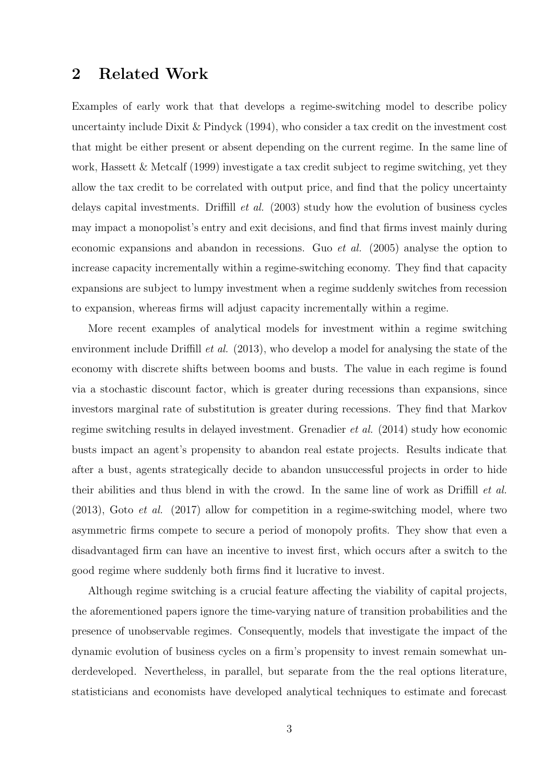## 2 Related Work

Examples of early work that that develops a regime-switching model to describe policy uncertainty include Dixit & Pindyck (1994), who consider a tax credit on the investment cost that might be either present or absent depending on the current regime. In the same line of work, Hassett & Metcalf (1999) investigate a tax credit subject to regime switching, yet they allow the tax credit to be correlated with output price, and find that the policy uncertainty delays capital investments. Driffill et al. (2003) study how the evolution of business cycles may impact a monopolist's entry and exit decisions, and find that firms invest mainly during economic expansions and abandon in recessions. Guo *et al.*  $(2005)$  analyse the option to increase capacity incrementally within a regime-switching economy. They find that capacity expansions are subject to lumpy investment when a regime suddenly switches from recession to expansion, whereas firms will adjust capacity incrementally within a regime.

More recent examples of analytical models for investment within a regime switching environment include Driffill *et al.* (2013), who develop a model for analysing the state of the economy with discrete shifts between booms and busts. The value in each regime is found via a stochastic discount factor, which is greater during recessions than expansions, since investors marginal rate of substitution is greater during recessions. They find that Markov regime switching results in delayed investment. Grenadier et al. (2014) study how economic busts impact an agent's propensity to abandon real estate projects. Results indicate that after a bust, agents strategically decide to abandon unsuccessful projects in order to hide their abilities and thus blend in with the crowd. In the same line of work as Driffill *et al.*  $(2013)$ , Goto *et al.*  $(2017)$  allow for competition in a regime-switching model, where two asymmetric firms compete to secure a period of monopoly profits. They show that even a disadvantaged firm can have an incentive to invest first, which occurs after a switch to the good regime where suddenly both firms find it lucrative to invest.

Although regime switching is a crucial feature affecting the viability of capital projects, the aforementioned papers ignore the time-varying nature of transition probabilities and the presence of unobservable regimes. Consequently, models that investigate the impact of the dynamic evolution of business cycles on a firm's propensity to invest remain somewhat underdeveloped. Nevertheless, in parallel, but separate from the the real options literature, statisticians and economists have developed analytical techniques to estimate and forecast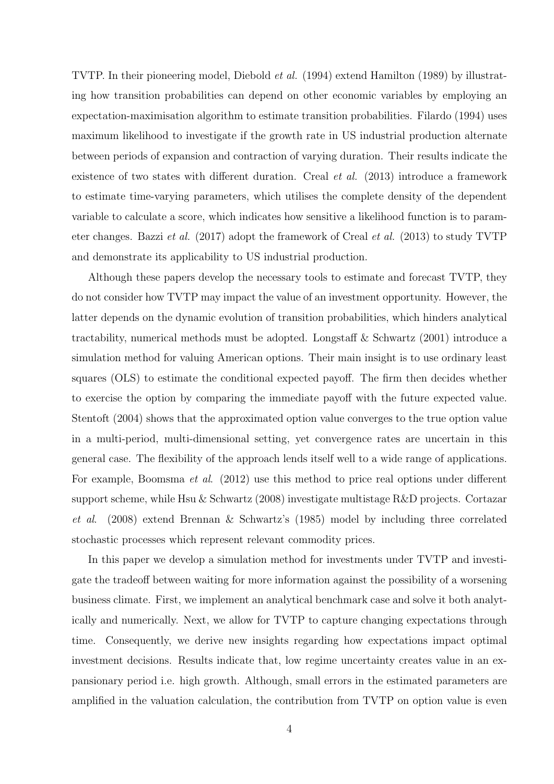TVTP. In their pioneering model, Diebold et al. (1994) extend Hamilton (1989) by illustrating how transition probabilities can depend on other economic variables by employing an expectation-maximisation algorithm to estimate transition probabilities. Filardo (1994) uses maximum likelihood to investigate if the growth rate in US industrial production alternate between periods of expansion and contraction of varying duration. Their results indicate the existence of two states with different duration. Creal *et al.* (2013) introduce a framework to estimate time-varying parameters, which utilises the complete density of the dependent variable to calculate a score, which indicates how sensitive a likelihood function is to parameter changes. Bazzi et al. (2017) adopt the framework of Creal et al. (2013) to study TVTP and demonstrate its applicability to US industrial production.

Although these papers develop the necessary tools to estimate and forecast TVTP, they do not consider how TVTP may impact the value of an investment opportunity. However, the latter depends on the dynamic evolution of transition probabilities, which hinders analytical tractability, numerical methods must be adopted. Longstaff & Schwartz (2001) introduce a simulation method for valuing American options. Their main insight is to use ordinary least squares (OLS) to estimate the conditional expected payoff. The firm then decides whether to exercise the option by comparing the immediate payoff with the future expected value. Stentoft (2004) shows that the approximated option value converges to the true option value in a multi-period, multi-dimensional setting, yet convergence rates are uncertain in this general case. The flexibility of the approach lends itself well to a wide range of applications. For example, Boomsma *et al.* (2012) use this method to price real options under different support scheme, while Hsu & Schwartz (2008) investigate multistage R&D projects. Cortazar et al. (2008) extend Brennan & Schwartz's (1985) model by including three correlated stochastic processes which represent relevant commodity prices.

In this paper we develop a simulation method for investments under TVTP and investigate the tradeoff between waiting for more information against the possibility of a worsening business climate. First, we implement an analytical benchmark case and solve it both analytically and numerically. Next, we allow for TVTP to capture changing expectations through time. Consequently, we derive new insights regarding how expectations impact optimal investment decisions. Results indicate that, low regime uncertainty creates value in an expansionary period i.e. high growth. Although, small errors in the estimated parameters are amplified in the valuation calculation, the contribution from TVTP on option value is even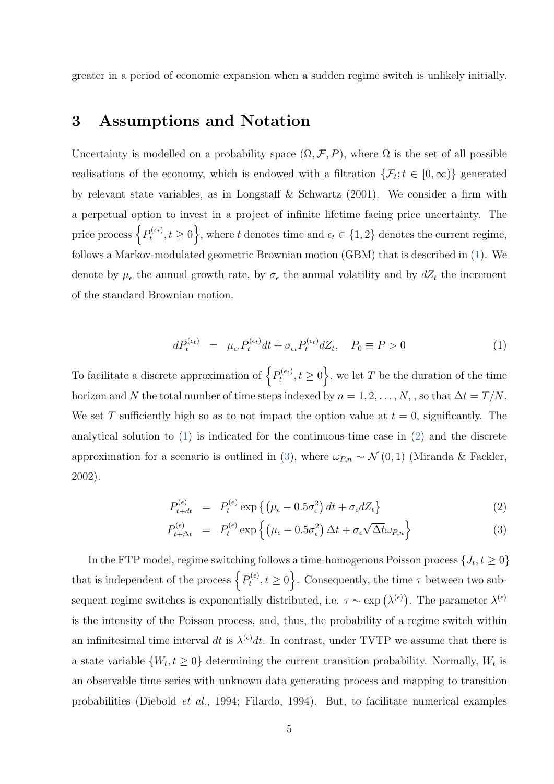greater in a period of economic expansion when a sudden regime switch is unlikely initially.

## <span id="page-4-2"></span>3 Assumptions and Notation

Uncertainty is modelled on a probability space  $(\Omega, \mathcal{F}, P)$ , where  $\Omega$  is the set of all possible realisations of the economy, which is endowed with a filtration  $\{\mathcal{F}_t; t \in [0,\infty)\}\$  generated by relevant state variables, as in Longstaff & Schwartz (2001). We consider a firm with a perpetual option to invest in a project of infinite lifetime facing price uncertainty. The price process  $\left\{P_t^{(\epsilon_t)}\right\}$  $t_t^{(e_t)}, t \ge 0$ , where t denotes time and  $\epsilon_t \in \{1, 2\}$  denotes the current regime, follows a Markov-modulated geometric Brownian motion (GBM) that is described in [\(1\)](#page-4-0). We denote by  $\mu_{\epsilon}$  the annual growth rate, by  $\sigma_{\epsilon}$  the annual volatility and by  $dZ_t$  the increment of the standard Brownian motion.

<span id="page-4-0"></span>
$$
dP_t^{(\epsilon_t)} = \mu_{\epsilon_t} P_t^{(\epsilon_t)} dt + \sigma_{\epsilon_t} P_t^{(\epsilon_t)} dZ_t, \quad P_0 \equiv P > 0 \tag{1}
$$

To facilitate a discrete approximation of  $\left\{P_t^{(\epsilon_t)}\right\}$  $t^{(e_t)}_t, t \geq 0$ , we let T be the duration of the time horizon and N the total number of time steps indexed by  $n = 1, 2, ..., N$ , , so that  $\Delta t = T/N$ . We set T sufficiently high so as to not impact the option value at  $t = 0$ , significantly. The analytical solution to  $(1)$  is indicated for the continuous-time case in  $(2)$  and the discrete approximation for a scenario is outlined in [\(3\)](#page-4-1), where  $\omega_{P,n} \sim \mathcal{N}(0, 1)$  (Miranda & Fackler, 2002).

<span id="page-4-1"></span>
$$
P_{t+dt}^{(\epsilon)} = P_t^{(\epsilon)} \exp\left\{ \left(\mu_\epsilon - 0.5\sigma_\epsilon^2\right)dt + \sigma_\epsilon dZ_t \right\} \tag{2}
$$

$$
P_{t+\Delta t}^{(\epsilon)} = P_t^{(\epsilon)} \exp\left\{ \left( \mu_\epsilon - 0.5\sigma_\epsilon^2 \right) \Delta t + \sigma_\epsilon \sqrt{\Delta t} \omega_{P,n} \right\} \tag{3}
$$

In the FTP model, regime switching follows a time-homogenous Poisson process  $\{J_t, t \geq 0\}$ that is independent of the process  $\{P_t^{(\epsilon)}\}$  $t^{(e)}(t,t \geq 0)$ . Consequently, the time  $\tau$  between two subsequent regime switches is exponentially distributed, i.e.  $\tau \sim \exp(\lambda^{(\epsilon)})$ . The parameter  $\lambda^{(\epsilon)}$ is the intensity of the Poisson process, and, thus, the probability of a regime switch within an infinitesimal time interval dt is  $\lambda^{(\epsilon)}dt$ . In contrast, under TVTP we assume that there is a state variable  $\{W_t, t \geq 0\}$  determining the current transition probability. Normally,  $W_t$  is an observable time series with unknown data generating process and mapping to transition probabilities (Diebold et al., 1994; Filardo, 1994). But, to facilitate numerical examples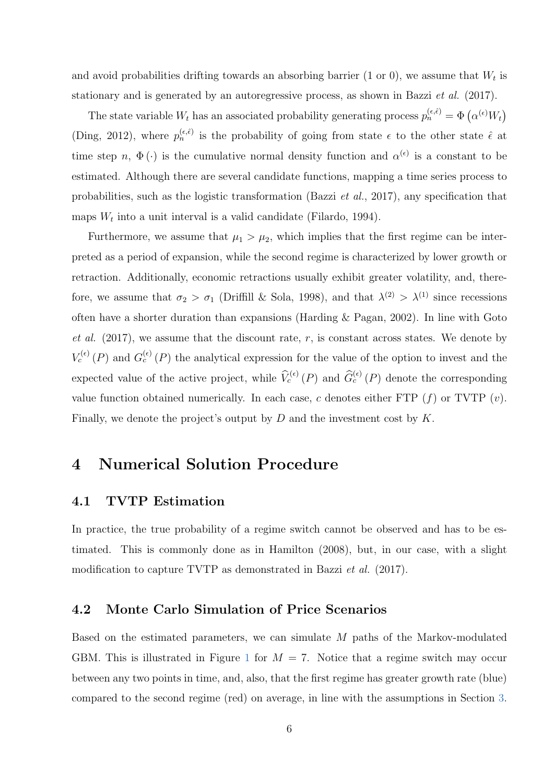and avoid probabilities drifting towards an absorbing barrier (1 or 0), we assume that  $W_t$  is stationary and is generated by an autoregressive process, as shown in Bazzi et al. (2017).

The state variable  $W_t$  has an associated probability generating process  $p_n^{(\epsilon,\hat{\epsilon})} = \Phi\left(\alpha^{(\epsilon)} W_t\right)$ (Ding, 2012), where  $p_n^{(\epsilon,\hat{\epsilon})}$  is the probability of going from state  $\epsilon$  to the other state  $\hat{\epsilon}$  at time step n,  $\Phi(\cdot)$  is the cumulative normal density function and  $\alpha^{(\epsilon)}$  is a constant to be estimated. Although there are several candidate functions, mapping a time series process to probabilities, such as the logistic transformation (Bazzi et al., 2017), any specification that maps  $W_t$  into a unit interval is a valid candidate (Filardo, 1994).

Furthermore, we assume that  $\mu_1 > \mu_2$ , which implies that the first regime can be interpreted as a period of expansion, while the second regime is characterized by lower growth or retraction. Additionally, economic retractions usually exhibit greater volatility, and, therefore, we assume that  $\sigma_2 > \sigma_1$  (Driffill & Sola, 1998), and that  $\lambda^{(2)} > \lambda^{(1)}$  since recessions often have a shorter duration than expansions (Harding  $&$  Pagan, 2002). In line with Goto et al.  $(2017)$ , we assume that the discount rate, r, is constant across states. We denote by  $V_c^{(\epsilon)}(P)$  and  $G_c^{(\epsilon)}(P)$  the analytical expression for the value of the option to invest and the expected value of the active project, while  $\widehat{V}_c^{(\epsilon)}(P)$  and  $\widehat{G}_c^{(\epsilon)}(P)$  denote the corresponding value function obtained numerically. In each case, c denotes either FTP  $(f)$  or TVTP  $(v)$ . Finally, we denote the project's output by  $D$  and the investment cost by  $K$ .

## 4 Numerical Solution Procedure

#### 4.1 TVTP Estimation

In practice, the true probability of a regime switch cannot be observed and has to be estimated. This is commonly done as in Hamilton (2008), but, in our case, with a slight modification to capture TVTP as demonstrated in Bazzi *et al.* (2017).

#### <span id="page-5-0"></span>4.2 Monte Carlo Simulation of Price Scenarios

Based on the estimated parameters, we can simulate M paths of the Markov-modulated GBM. This is illustrated in Figure [1](#page-6-0) for  $M = 7$ . Notice that a regime switch may occur between any two points in time, and, also, that the first regime has greater growth rate (blue) compared to the second regime (red) on average, in line with the assumptions in Section [3.](#page-4-2)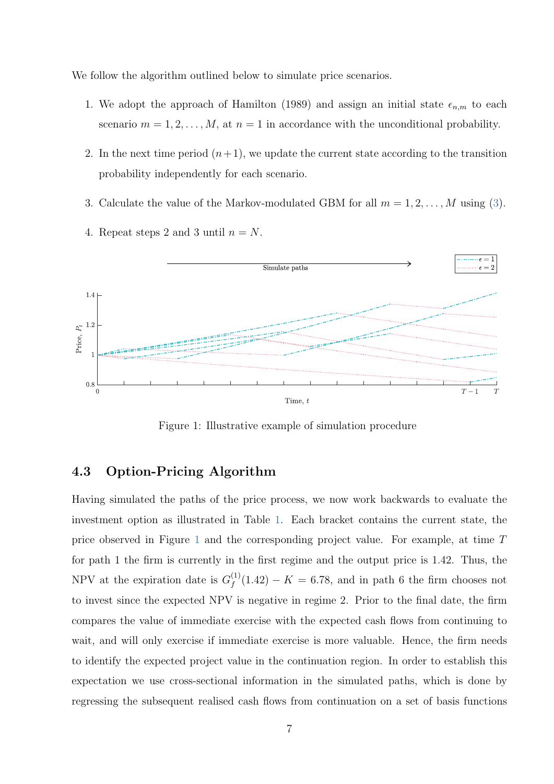We follow the algorithm outlined below to simulate price scenarios.

- 1. We adopt the approach of Hamilton (1989) and assign an initial state  $\epsilon_{n,m}$  to each scenario  $m = 1, 2, ..., M$ , at  $n = 1$  in accordance with the unconditional probability.
- 2. In the next time period  $(n+1)$ , we update the current state according to the transition probability independently for each scenario.
- 3. Calculate the value of the Markov-modulated GBM for all  $m = 1, 2, ..., M$  using [\(3\)](#page-4-1).



4. Repeat steps 2 and 3 until  $n = N$ .

<span id="page-6-0"></span>Figure 1: Illustrative example of simulation procedure

#### 4.3 Option-Pricing Algorithm

Having simulated the paths of the price process, we now work backwards to evaluate the investment option as illustrated in Table [1.](#page-7-0) Each bracket contains the current state, the price observed in Figure [1](#page-6-0) and the corresponding project value. For example, at time T for path 1 the firm is currently in the first regime and the output price is 1.42. Thus, the NPV at the expiration date is  $G_f^{(1)}$  $f_f^{(1)}(1.42) - K = 6.78$ , and in path 6 the firm chooses not to invest since the expected NPV is negative in regime 2. Prior to the final date, the firm compares the value of immediate exercise with the expected cash flows from continuing to wait, and will only exercise if immediate exercise is more valuable. Hence, the firm needs to identify the expected project value in the continuation region. In order to establish this expectation we use cross-sectional information in the simulated paths, which is done by regressing the subsequent realised cash flows from continuation on a set of basis functions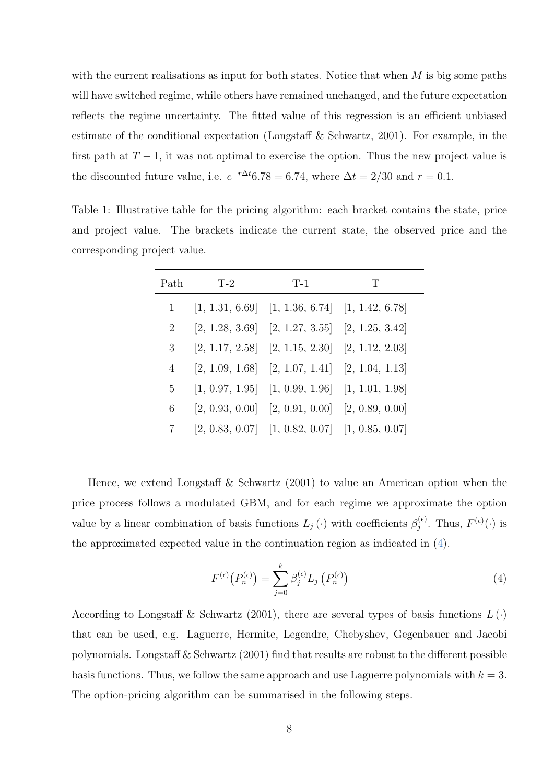with the current realisations as input for both states. Notice that when  $M$  is big some paths will have switched regime, while others have remained unchanged, and the future expectation reflects the regime uncertainty. The fitted value of this regression is an efficient unbiased estimate of the conditional expectation (Longstaff & Schwartz, 2001). For example, in the first path at  $T-1$ , it was not optimal to exercise the option. Thus the new project value is the discounted future value, i.e.  $e^{-r\Delta t}$ 6.78 = 6.74, where  $\Delta t = 2/30$  and  $r = 0.1$ .

<span id="page-7-0"></span>Table 1: Illustrative table for the pricing algorithm: each bracket contains the state, price and project value. The brackets indicate the current state, the observed price and the corresponding project value.

| Path | $T-2$ | $T-1$                                                 | T |  |  |
|------|-------|-------------------------------------------------------|---|--|--|
|      |       | $[1, 1.31, 6.69]$ $[1, 1.36, 6.74]$ $[1, 1.42, 6.78]$ |   |  |  |
| 2    |       | $[2, 1.28, 3.69]$ $[2, 1.27, 3.55]$ $[2, 1.25, 3.42]$ |   |  |  |
| 3    |       | $[2, 1.17, 2.58]$ $[2, 1.15, 2.30]$ $[2, 1.12, 2.03]$ |   |  |  |
| 4    |       | $[2, 1.09, 1.68]$ $[2, 1.07, 1.41]$ $[2, 1.04, 1.13]$ |   |  |  |
| 5    |       | $[1, 0.97, 1.95]$ $[1, 0.99, 1.96]$ $[1, 1.01, 1.98]$ |   |  |  |
| 6    |       | $[2, 0.93, 0.00]$ $[2, 0.91, 0.00]$ $[2, 0.89, 0.00]$ |   |  |  |
| 7    |       | $[2, 0.83, 0.07]$ $[1, 0.82, 0.07]$ $[1, 0.85, 0.07]$ |   |  |  |

Hence, we extend Longstaff & Schwartz  $(2001)$  to value an American option when the price process follows a modulated GBM, and for each regime we approximate the option value by a linear combination of basis functions  $L_j(\cdot)$  with coefficients  $\beta_j^{(\epsilon)}$  $f_j^{(\epsilon)}$ . Thus,  $F^{(\epsilon)}(\cdot)$  is the approximated expected value in the continuation region as indicated in [\(4\)](#page-7-1).

<span id="page-7-1"></span>
$$
F^{(\epsilon)}\left(P_n^{(\epsilon)}\right) = \sum_{j=0}^k \beta_j^{(\epsilon)} L_j\left(P_n^{(\epsilon)}\right) \tag{4}
$$

According to Longstaff & Schwartz (2001), there are several types of basis functions  $L(\cdot)$ that can be used, e.g. Laguerre, Hermite, Legendre, Chebyshev, Gegenbauer and Jacobi polynomials. Longstaff & Schwartz (2001) find that results are robust to the different possible basis functions. Thus, we follow the same approach and use Laguerre polynomials with  $k = 3$ . The option-pricing algorithm can be summarised in the following steps.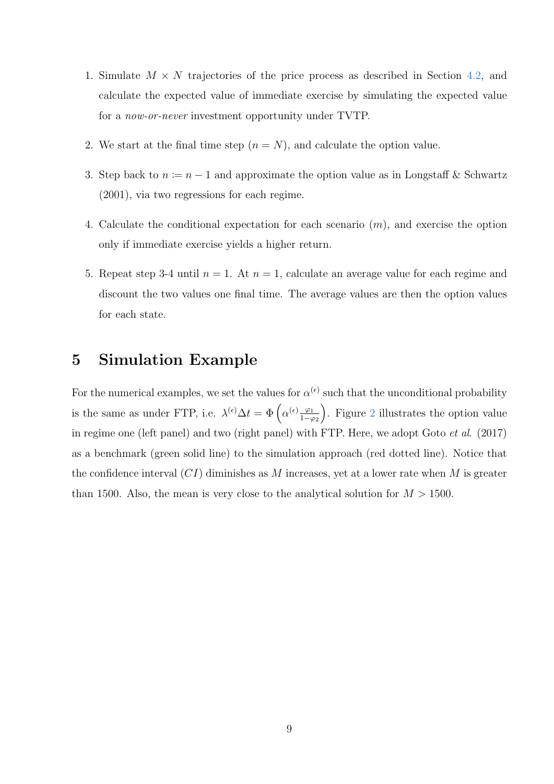- 1. Simulate  $M \times N$  trajectories of the price process as described in Section [4.2,](#page-5-0) and calculate the expected value of immediate exercise by simulating the expected value for a now-or-never investment opportunity under TVTP.
- 2. We start at the final time step  $(n = N)$ , and calculate the option value.
- 3. Step back to  $n = n 1$  and approximate the option value as in Longstaff & Schwartz (2001), via two regressions for each regime.
- 4. Calculate the conditional expectation for each scenario  $(m)$ , and exercise the option only if immediate exercise yields a higher return.
- 5. Repeat step 3-4 until  $n = 1$ . At  $n = 1$ , calculate an average value for each regime and discount the two values one final time. The average values are then the option values for each state.

## 5 Simulation Example

For the numerical examples, we set the values for  $\alpha^{(\epsilon)}$  such that the unconditional probability is the same as under FTP, i.e.  $\lambda^{(\epsilon)} \Delta t = \Phi\left(\alpha^{(\epsilon)}\frac{\varphi_1}{1-\alpha}\right)$  $1-\varphi_2$  . Figure [2](#page-9-0) illustrates the option value in regime one (left panel) and two (right panel) with FTP. Here, we adopt Goto et al. (2017) as a benchmark (green solid line) to the simulation approach (red dotted line). Notice that the confidence interval  $(CI)$  diminishes as M increases, yet at a lower rate when M is greater than 1500. Also, the mean is very close to the analytical solution for  $M > 1500$ .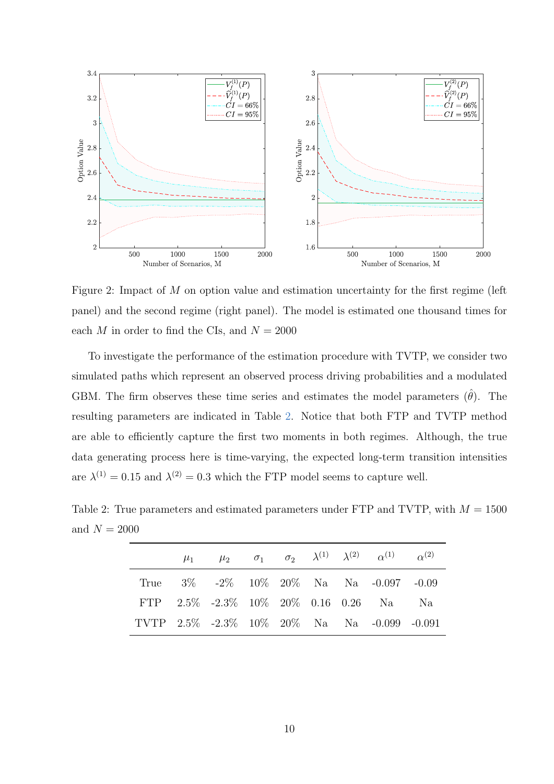

<span id="page-9-0"></span>Figure 2: Impact of M on option value and estimation uncertainty for the first regime (left panel) and the second regime (right panel). The model is estimated one thousand times for each M in order to find the CIs, and  $N = 2000$ 

To investigate the performance of the estimation procedure with TVTP, we consider two simulated paths which represent an observed process driving probabilities and a modulated GBM. The firm observes these time series and estimates the model parameters  $(\hat{\theta})$ . The resulting parameters are indicated in Table [2.](#page-9-1) Notice that both FTP and TVTP method are able to efficiently capture the first two moments in both regimes. Although, the true data generating process here is time-varying, the expected long-term transition intensities are  $\lambda^{(1)} = 0.15$  and  $\lambda^{(2)} = 0.3$  which the FTP model seems to capture well.

<span id="page-9-1"></span>Table 2: True parameters and estimated parameters under FTP and TVTP, with  $M = 1500$ and  $N = 2000$ 

|  |  |  | $\mu_1$ $\mu_2$ $\sigma_1$ $\sigma_2$ $\lambda^{(1)}$ $\lambda^{(2)}$ $\alpha^{(1)}$ $\alpha^{(2)}$ |  |
|--|--|--|-----------------------------------------------------------------------------------------------------|--|
|  |  |  | True $3\%$ -2\% 10\% 20\% Na Na -0.097 -0.09                                                        |  |
|  |  |  | FTP 2.5% -2.3% 10% 20% 0.16 0.26 Na Na                                                              |  |
|  |  |  | TVTP 2.5% -2.3% 10% 20% Na Na -0.099 -0.091                                                         |  |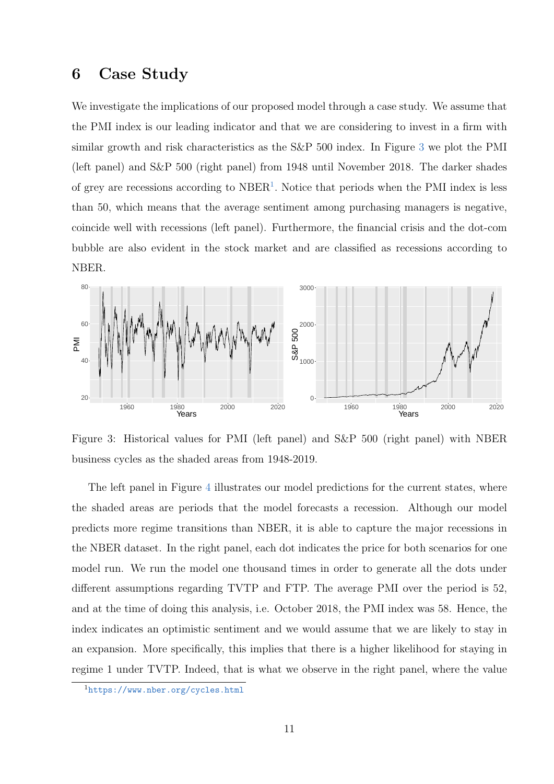### 6 Case Study

We investigate the implications of our proposed model through a case study. We assume that the PMI index is our leading indicator and that we are considering to invest in a firm with similar growth and risk characteristics as the S&P 500 index. In Figure [3](#page-10-0) we plot the PMI (left panel) and S&P 500 (right panel) from 1948 until November 2018. The darker shades of grey are recessions according to NBER<sup>[1](#page-10-1)</sup>. Notice that periods when the PMI index is less than 50, which means that the average sentiment among purchasing managers is negative, coincide well with recessions (left panel). Furthermore, the financial crisis and the dot-com bubble are also evident in the stock market and are classified as recessions according to NBER.



<span id="page-10-0"></span>Figure 3: Historical values for PMI (left panel) and S&P 500 (right panel) with NBER business cycles as the shaded areas from 1948-2019.

The left panel in Figure [4](#page-11-0) illustrates our model predictions for the current states, where the shaded areas are periods that the model forecasts a recession. Although our model predicts more regime transitions than NBER, it is able to capture the major recessions in the NBER dataset. In the right panel, each dot indicates the price for both scenarios for one model run. We run the model one thousand times in order to generate all the dots under different assumptions regarding TVTP and FTP. The average PMI over the period is 52, and at the time of doing this analysis, i.e. October 2018, the PMI index was 58. Hence, the index indicates an optimistic sentiment and we would assume that we are likely to stay in an expansion. More specifically, this implies that there is a higher likelihood for staying in regime 1 under TVTP. Indeed, that is what we observe in the right panel, where the value

<span id="page-10-1"></span><sup>1</sup><https://www.nber.org/cycles.html>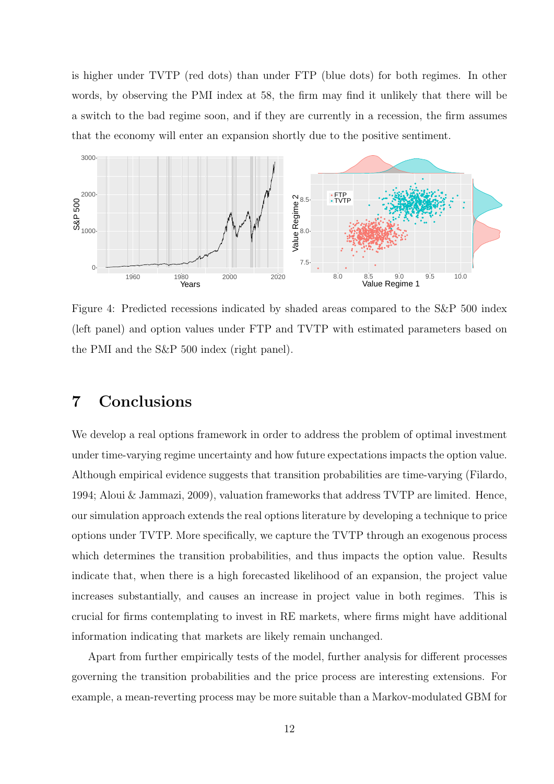is higher under TVTP (red dots) than under FTP (blue dots) for both regimes. In other words, by observing the PMI index at 58, the firm may find it unlikely that there will be a switch to the bad regime soon, and if they are currently in a recession, the firm assumes that the economy will enter an expansion shortly due to the positive sentiment.



<span id="page-11-0"></span>Figure 4: Predicted recessions indicated by shaded areas compared to the S&P 500 index (left panel) and option values under FTP and TVTP with estimated parameters based on the PMI and the S&P 500 index (right panel).

## 7 Conclusions

We develop a real options framework in order to address the problem of optimal investment under time-varying regime uncertainty and how future expectations impacts the option value. Although empirical evidence suggests that transition probabilities are time-varying (Filardo, 1994; Aloui & Jammazi, 2009), valuation frameworks that address TVTP are limited. Hence, our simulation approach extends the real options literature by developing a technique to price options under TVTP. More specifically, we capture the TVTP through an exogenous process which determines the transition probabilities, and thus impacts the option value. Results indicate that, when there is a high forecasted likelihood of an expansion, the project value increases substantially, and causes an increase in project value in both regimes. This is crucial for firms contemplating to invest in RE markets, where firms might have additional information indicating that markets are likely remain unchanged.

Apart from further empirically tests of the model, further analysis for different processes governing the transition probabilities and the price process are interesting extensions. For example, a mean-reverting process may be more suitable than a Markov-modulated GBM for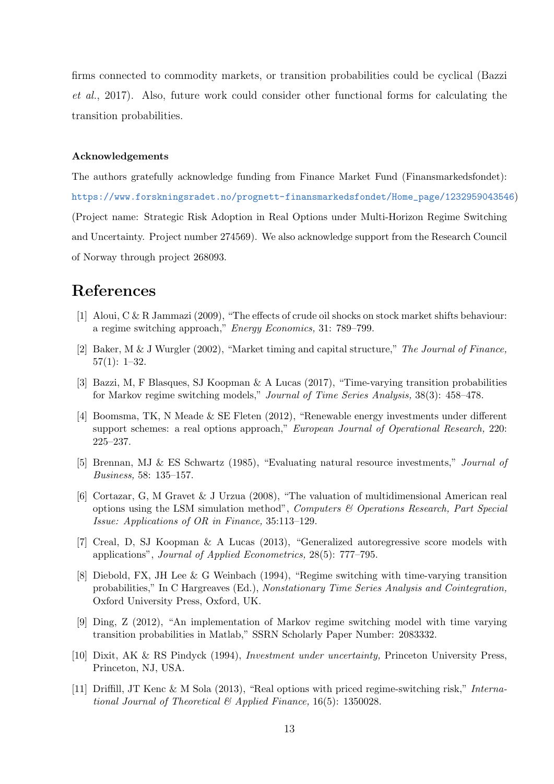firms connected to commodity markets, or transition probabilities could be cyclical (Bazzi et al., 2017). Also, future work could consider other functional forms for calculating the transition probabilities.

#### Acknowledgements

The authors gratefully acknowledge funding from Finance Market Fund (Finansmarkedsfondet): [https://www.forskningsradet.no/prognett-finansmarkedsfondet/Home\\_page/1232959043546](https://www. forskningsradet.no/prognett-finansmarkedsfondet/Home_page/1232959043546)) (Project name: Strategic Risk Adoption in Real Options under Multi-Horizon Regime Switching and Uncertainty. Project number 274569). We also acknowledge support from the Research Council of Norway through project 268093.

## References

- [1] Aloui, C & R Jammazi (2009), "The effects of crude oil shocks on stock market shifts behaviour: a regime switching approach," Energy Economics, 31: 789–799.
- [2] Baker, M & J Wurgler (2002), "Market timing and capital structure," The Journal of Finance, 57(1): 1–32.
- [3] Bazzi, M, F Blasques, SJ Koopman & A Lucas (2017), "Time-varying transition probabilities for Markov regime switching models," Journal of Time Series Analysis, 38(3): 458–478.
- [4] Boomsma, TK, N Meade & SE Fleten (2012), "Renewable energy investments under different support schemes: a real options approach," European Journal of Operational Research, 220: 225–237.
- [5] Brennan, MJ & ES Schwartz (1985), "Evaluating natural resource investments," Journal of Business, 58: 135–157.
- [6] Cortazar, G, M Gravet & J Urzua (2008), "The valuation of multidimensional American real options using the LSM simulation method", Computers  $\mathcal C$  Operations Research, Part Special Issue: Applications of OR in Finance, 35:113–129.
- [7] Creal, D, SJ Koopman & A Lucas (2013), "Generalized autoregressive score models with applications", Journal of Applied Econometrics, 28(5): 777–795.
- [8] Diebold, FX, JH Lee & G Weinbach (1994), "Regime switching with time-varying transition probabilities," In C Hargreaves (Ed.), Nonstationary Time Series Analysis and Cointegration, Oxford University Press, Oxford, UK.
- [9] Ding, Z (2012), "An implementation of Markov regime switching model with time varying transition probabilities in Matlab," SSRN Scholarly Paper Number: 2083332.
- [10] Dixit, AK & RS Pindyck (1994), Investment under uncertainty, Princeton University Press, Princeton, NJ, USA.
- [11] Driffill, JT Kenc & M Sola (2013), "Real options with priced regime-switching risk," International Journal of Theoretical  $\mathcal{B}$  Applied Finance, 16(5): 1350028.